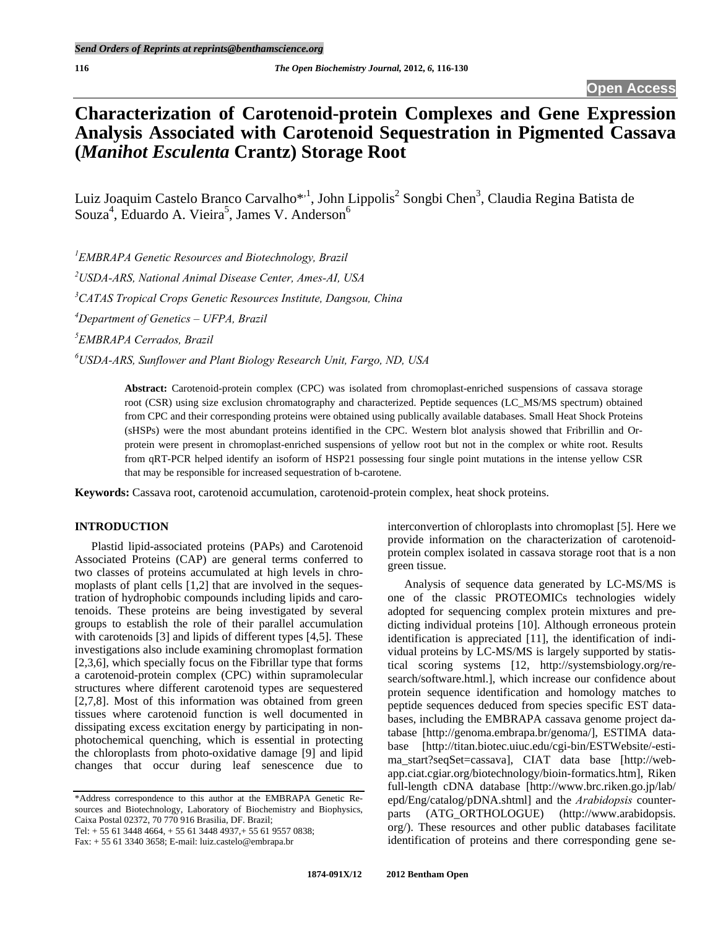# **Characterization of Carotenoid-protein Complexes and Gene Expression Analysis Associated with Carotenoid Sequestration in Pigmented Cassava (***Manihot Esculenta* **Crantz) Storage Root**

Luiz Joaquim Castelo Branco Carvalho\*,<sup>1</sup>, John Lippolis<sup>2</sup> Songbi Chen<sup>3</sup>, Claudia Regina Batista de Souza<sup>4</sup>, Eduardo A. Vieira<sup>5</sup>, James V. Anderson<sup>6</sup>

 *EMBRAPA Genetic Resources and Biotechnology, Brazil USDA-ARS, National Animal Disease Center, Ames-AI, USA CATAS Tropical Crops Genetic Resources Institute, Dangsou, China Department of Genetics – UFPA, Brazil EMBRAPA Cerrados, Brazil USDA-ARS, Sunflower and Plant Biology Research Unit, Fargo, ND, USA* 

> **Abstract:** Carotenoid-protein complex (CPC) was isolated from chromoplast-enriched suspensions of cassava storage root (CSR) using size exclusion chromatography and characterized. Peptide sequences (LC\_MS/MS spectrum) obtained from CPC and their corresponding proteins were obtained using publically available databases. Small Heat Shock Proteins (sHSPs) were the most abundant proteins identified in the CPC. Western blot analysis showed that Fribrillin and Orprotein were present in chromoplast-enriched suspensions of yellow root but not in the complex or white root. Results from qRT-PCR helped identify an isoform of HSP21 possessing four single point mutations in the intense yellow CSR that may be responsible for increased sequestration of b-carotene.

**Keywords:** Cassava root, carotenoid accumulation, carotenoid-protein complex, heat shock proteins.

# **INTRODUCTION**

 Plastid lipid-associated proteins (PAPs) and Carotenoid Associated Proteins (CAP) are general terms conferred to two classes of proteins accumulated at high levels in chromoplasts of plant cells [1,2] that are involved in the sequestration of hydrophobic compounds including lipids and carotenoids. These proteins are being investigated by several groups to establish the role of their parallel accumulation with carotenoids [3] and lipids of different types [4,5]. These investigations also include examining chromoplast formation [2,3,6], which specially focus on the Fibrillar type that forms a carotenoid-protein complex (CPC) within supramolecular structures where different carotenoid types are sequestered [2,7,8]. Most of this information was obtained from green tissues where carotenoid function is well documented in dissipating excess excitation energy by participating in nonphotochemical quenching, which is essential in protecting the chloroplasts from photo-oxidative damage [9] and lipid changes that occur during leaf senescence due to

\*Address correspondence to this author at the EMBRAPA Genetic Resources and Biotechnology, Laboratory of Biochemistry and Biophysics, Caixa Postal 02372, 70 770 916 Brasilia, DF. Brazil;

Tel: + 55 61 3448 4664, + 55 61 3448 4937,+ 55 61 9557 0838;

interconvertion of chloroplasts into chromoplast [5]. Here we provide information on the characterization of carotenoidprotein complex isolated in cassava storage root that is a non green tissue.

 Analysis of sequence data generated by LC-MS/MS is one of the classic PROTEOMICs technologies widely adopted for sequencing complex protein mixtures and predicting individual proteins [10]. Although erroneous protein identification is appreciated [11], the identification of individual proteins by LC-MS/MS is largely supported by statistical scoring systems [12, http://systemsbiology.org/research/software.html.], which increase our confidence about protein sequence identification and homology matches to peptide sequences deduced from species specific EST databases, including the EMBRAPA cassava genome project database [http://genoma.embrapa.br/genoma/], ESTIMA database [http://titan.biotec.uiuc.edu/cgi-bin/ESTWebsite/-estima\_start?seqSet=cassava], CIAT data base [http://webapp.ciat.cgiar.org/biotechnology/bioin-formatics.htm], Riken full-length cDNA database [http://www.brc.riken.go.jp/lab/ epd/Eng/catalog/pDNA.shtml] and the *Arabidopsis* counterparts (ATG\_ORTHOLOGUE) (http://www.arabidopsis. org/). These resources and other public databases facilitate identification of proteins and there corresponding gene se-

Fax: + 55 61 3340 3658; E-mail: luiz.castelo@embrapa.br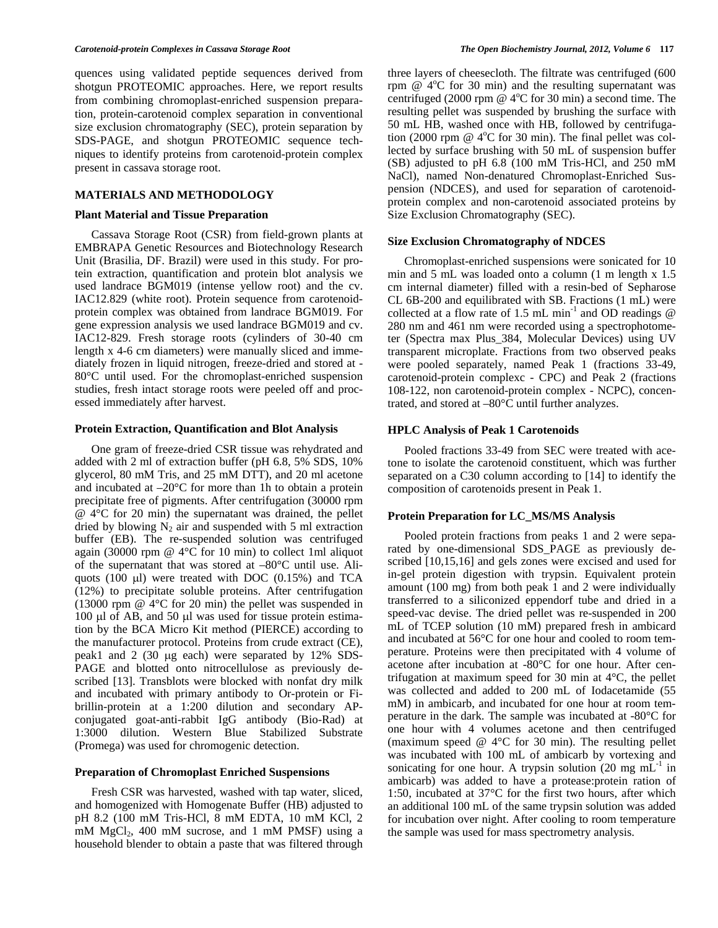quences using validated peptide sequences derived from shotgun PROTEOMIC approaches. Here, we report results from combining chromoplast-enriched suspension preparation, protein-carotenoid complex separation in conventional size exclusion chromatography (SEC), protein separation by SDS-PAGE, and shotgun PROTEOMIC sequence techniques to identify proteins from carotenoid-protein complex present in cassava storage root.

## **MATERIALS AND METHODOLOGY**

### **Plant Material and Tissue Preparation**

Cassava Storage Root (CSR) from field-grown plants at EMBRAPA Genetic Resources and Biotechnology Research Unit (Brasilia, DF. Brazil) were used in this study. For protein extraction, quantification and protein blot analysis we used landrace BGM019 (intense yellow root) and the cv. IAC12.829 (white root). Protein sequence from carotenoidprotein complex was obtained from landrace BGM019. For gene expression analysis we used landrace BGM019 and cv. IAC12-829. Fresh storage roots (cylinders of 30-40 cm length x 4-6 cm diameters) were manually sliced and immediately frozen in liquid nitrogen, freeze-dried and stored at - 80°C until used. For the chromoplast-enriched suspension studies, fresh intact storage roots were peeled off and processed immediately after harvest.

### **Protein Extraction, Quantification and Blot Analysis**

 One gram of freeze-dried CSR tissue was rehydrated and added with 2 ml of extraction buffer (pH 6.8, 5% SDS, 10% glycerol, 80 mM Tris, and 25 mM DTT), and 20 ml acetone and incubated at  $-20^{\circ}$ C for more than 1h to obtain a protein precipitate free of pigments. After centrifugation (30000 rpm @ 4°C for 20 min) the supernatant was drained, the pellet dried by blowing  $N_2$  air and suspended with 5 ml extraction buffer (EB). The re-suspended solution was centrifuged again (30000 rpm @ 4°C for 10 min) to collect 1ml aliquot of the supernatant that was stored at –80°C until use. Aliquots (100  $\mu$ I) were treated with DOC (0.15%) and TCA (12%) to precipitate soluble proteins. After centrifugation (13000 rpm @ 4°C for 20 min) the pellet was suspended in 100  $\mu$ l of AB, and 50  $\mu$ l was used for tissue protein estimation by the BCA Micro Kit method (PIERCE) according to the manufacturer protocol. Proteins from crude extract (CE), peak1 and  $2$  (30  $\mu$ g each) were separated by 12% SDS-PAGE and blotted onto nitrocellulose as previously described [13]. Transblots were blocked with nonfat dry milk and incubated with primary antibody to Or-protein or Fibrillin-protein at a 1:200 dilution and secondary APconjugated goat-anti-rabbit IgG antibody (Bio-Rad) at 1:3000 dilution. Western Blue Stabilized Substrate (Promega) was used for chromogenic detection.

### **Preparation of Chromoplast Enriched Suspensions**

Fresh CSR was harvested, washed with tap water, sliced, and homogenized with Homogenate Buffer (HB) adjusted to pH 8.2 (100 mM Tris-HCl, 8 mM EDTA, 10 mM KCl, 2 mM MgCl<sub>2</sub>, 400 mM sucrose, and 1 mM PMSF) using a household blender to obtain a paste that was filtered through three layers of cheesecloth. The filtrate was centrifuged (600 rpm  $@A^{\circ}C$  for 30 min) and the resulting supernatant was centrifuged (2000 rpm  $@$  4°C for 30 min) a second time. The resulting pellet was suspended by brushing the surface with 50 mL HB, washed once with HB, followed by centrifugation (2000 rpm  $@$  4°C for 30 min). The final pellet was collected by surface brushing with 50 mL of suspension buffer (SB) adjusted to pH 6.8 (100 mM Tris-HCl, and 250 mM NaCl), named Non-denatured Chromoplast-Enriched Suspension (NDCES), and used for separation of carotenoidprotein complex and non-carotenoid associated proteins by Size Exclusion Chromatography (SEC).

### **Size Exclusion Chromatography of NDCES**

 Chromoplast-enriched suspensions were sonicated for 10 min and 5 mL was loaded onto a column (1 m length x 1.5 cm internal diameter) filled with a resin-bed of Sepharose CL 6B-200 and equilibrated with SB. Fractions (1 mL) were collected at a flow rate of 1.5 mL min<sup>-1</sup> and OD readings  $@$ 280 nm and 461 nm were recorded using a spectrophotometer (Spectra max Plus\_384, Molecular Devices) using UV transparent microplate. Fractions from two observed peaks were pooled separately, named Peak 1 (fractions 33-49, carotenoid-protein complexc - CPC) and Peak 2 (fractions 108-122, non carotenoid-protein complex - NCPC), concentrated, and stored at –80°C until further analyzes.

### **HPLC Analysis of Peak 1 Carotenoids**

Pooled fractions 33-49 from SEC were treated with acetone to isolate the carotenoid constituent, which was further separated on a C30 column according to [14] to identify the composition of carotenoids present in Peak 1.

### **Protein Preparation for LC\_MS/MS Analysis**

 Pooled protein fractions from peaks 1 and 2 were separated by one-dimensional SDS\_PAGE as previously described [10,15,16] and gels zones were excised and used for in-gel protein digestion with trypsin. Equivalent protein amount (100 mg) from both peak 1 and 2 were individually transferred to a siliconized eppendorf tube and dried in a speed-vac devise. The dried pellet was re-suspended in 200 mL of TCEP solution (10 mM) prepared fresh in ambicard and incubated at 56°C for one hour and cooled to room temperature. Proteins were then precipitated with 4 volume of acetone after incubation at -80°C for one hour. After centrifugation at maximum speed for 30 min at 4°C, the pellet was collected and added to 200 mL of Iodacetamide (55 mM) in ambicarb, and incubated for one hour at room temperature in the dark. The sample was incubated at -80°C for one hour with 4 volumes acetone and then centrifuged (maximum speed  $@$  4 $°C$  for 30 min). The resulting pellet was incubated with 100 mL of ambicarb by vortexing and sonicating for one hour. A trypsin solution  $(20 \text{ mg } \text{mL}^{-1})$  in ambicarb) was added to have a protease:protein ration of 1:50, incubated at 37°C for the first two hours, after which an additional 100 mL of the same trypsin solution was added for incubation over night. After cooling to room temperature the sample was used for mass spectrometry analysis.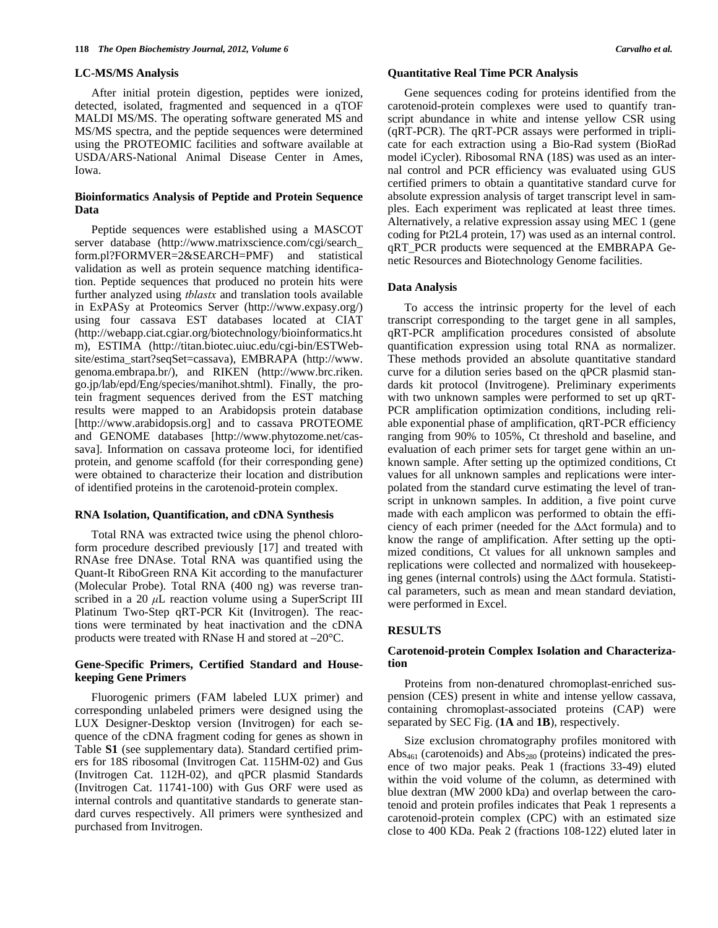### **LC-MS/MS Analysis**

 After initial protein digestion, peptides were ionized, detected, isolated, fragmented and sequenced in a qTOF MALDI MS/MS. The operating software generated MS and MS/MS spectra, and the peptide sequences were determined using the PROTEOMIC facilities and software available at USDA/ARS-National Animal Disease Center in Ames, Iowa.

### **Bioinformatics Analysis of Peptide and Protein Sequence Data**

 Peptide sequences were established using a MASCOT server database (http://www.matrixscience.com/cgi/search\_ form.pl?FORMVER=2&SEARCH=PMF) and statistical validation as well as protein sequence matching identification. Peptide sequences that produced no protein hits were further analyzed using *tblastx* and translation tools available in ExPASy at Proteomics Server (http://www.expasy.org/) using four cassava EST databases located at CIAT (http://webapp.ciat.cgiar.org/biotechnology/bioinformatics.ht m), ESTIMA (http://titan.biotec.uiuc.edu/cgi-bin/ESTWebsite/estima\_start?seqSet=cassava), EMBRAPA (http://www. genoma.embrapa.br/), and RIKEN (http://www.brc.riken. go.jp/lab/epd/Eng/species/manihot.shtml). Finally, the protein fragment sequences derived from the EST matching results were mapped to an Arabidopsis protein database [http://www.arabidopsis.org] and to cassava PROTEOME and GENOME databases [http://www.phytozome.net/cassava]. Information on cassava proteome loci, for identified protein, and genome scaffold (for their corresponding gene) were obtained to characterize their location and distribution of identified proteins in the carotenoid-protein complex.

# **RNA Isolation, Quantification, and cDNA Synthesis**

Total RNA was extracted twice using the phenol chloroform procedure described previously [17] and treated with RNAse free DNAse. Total RNA was quantified using the Quant-It RiboGreen RNA Kit according to the manufacturer (Molecular Probe). Total RNA (400 ng) was reverse transcribed in a 20 *μ*L reaction volume using a SuperScript III Platinum Two-Step qRT-PCR Kit (Invitrogen). The reactions were terminated by heat inactivation and the cDNA products were treated with RNase H and stored at –20°C.

### **Gene-Specific Primers, Certified Standard and Housekeeping Gene Primers**

Fluorogenic primers (FAM labeled LUX primer) and corresponding unlabeled primers were designed using the LUX Designer-Desktop version (Invitrogen) for each sequence of the cDNA fragment coding for genes as shown in Table **S1** (see supplementary data). Standard certified primers for 18S ribosomal (Invitrogen Cat. 115HM-02) and Gus (Invitrogen Cat. 112H-02), and qPCR plasmid Standards (Invitrogen Cat. 11741-100) with Gus ORF were used as internal controls and quantitative standards to generate standard curves respectively. All primers were synthesized and purchased from Invitrogen.

### **Quantitative Real Time PCR Analysis**

 Gene sequences coding for proteins identified from the carotenoid-protein complexes were used to quantify transcript abundance in white and intense yellow CSR using (qRT-PCR). The qRT-PCR assays were performed in triplicate for each extraction using a Bio-Rad system (BioRad model iCycler). Ribosomal RNA (18S) was used as an internal control and PCR efficiency was evaluated using GUS certified primers to obtain a quantitative standard curve for absolute expression analysis of target transcript level in samples. Each experiment was replicated at least three times. Alternatively, a relative expression assay using MEC 1 (gene coding for Pt2L4 protein, 17) was used as an internal control. qRT\_PCR products were sequenced at the EMBRAPA Genetic Resources and Biotechnology Genome facilities.

### **Data Analysis**

 To access the intrinsic property for the level of each transcript corresponding to the target gene in all samples, qRT-PCR amplification procedures consisted of absolute quantification expression using total RNA as normalizer. These methods provided an absolute quantitative standard curve for a dilution series based on the qPCR plasmid standards kit protocol (Invitrogene). Preliminary experiments with two unknown samples were performed to set up qRT-PCR amplification optimization conditions, including reliable exponential phase of amplification, qRT-PCR efficiency ranging from 90% to 105%, Ct threshold and baseline, and evaluation of each primer sets for target gene within an unknown sample. After setting up the optimized conditions, Ct values for all unknown samples and replications were interpolated from the standard curve estimating the level of transcript in unknown samples. In addition, a five point curve made with each amplicon was performed to obtain the efficiency of each primer (needed for the  $\Delta \Delta$ ct formula) and to know the range of amplification. After setting up the optimized conditions, Ct values for all unknown samples and replications were collected and normalized with housekeeping genes (internal controls) using the  $\Delta \Delta ct$  formula. Statistical parameters, such as mean and mean standard deviation, were performed in Excel.

### **RESULTS**

## **Carotenoid-protein Complex Isolation and Characterization**

 Proteins from non-denatured chromoplast-enriched suspension (CES) present in white and intense yellow cassava, containing chromoplast-associated proteins (CAP) were separated by SEC Fig. (**1A** and **1B**), respectively.

 Size exclusion chromatography profiles monitored with Abs<sub>461</sub> (carotenoids) and  $\text{Abs}_{280}$  (proteins) indicated the presence of two major peaks. Peak 1 (fractions 33-49) eluted within the void volume of the column, as determined with blue dextran (MW 2000 kDa) and overlap between the carotenoid and protein profiles indicates that Peak 1 represents a carotenoid-protein complex (CPC) with an estimated size close to 400 KDa. Peak 2 (fractions 108-122) eluted later in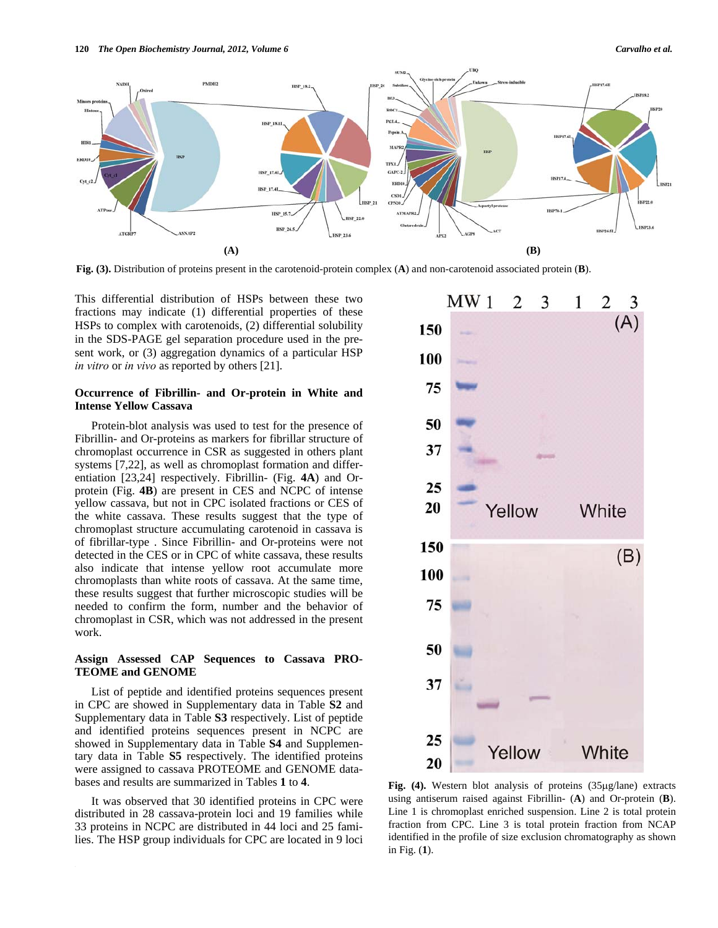

**Fig. (3).** Distribution of proteins present in the carotenoid-protein complex (**A**) and non-carotenoid associated protein (**B**).

This differential distribution of HSPs between these two fractions may indicate (1) differential properties of these HSPs to complex with carotenoids, (2) differential solubility in the SDS-PAGE gel separation procedure used in the present work, or (3) aggregation dynamics of a particular HSP *in vitro* or *in vivo* as reported by others [21].

### **Occurrence of Fibrillin- and Or-protein in White and Intense Yellow Cassava**

 Protein-blot analysis was used to test for the presence of Fibrillin- and Or-proteins as markers for fibrillar structure of chromoplast occurrence in CSR as suggested in others plant systems [7,22], as well as chromoplast formation and differentiation [23,24] respectively. Fibrillin- (Fig. **4A**) and Orprotein (Fig. **4B**) are present in CES and NCPC of intense yellow cassava, but not in CPC isolated fractions or CES of the white cassava. These results suggest that the type of chromoplast structure accumulating carotenoid in cassava is of fibrillar-type . Since Fibrillin- and Or-proteins were not detected in the CES or in CPC of white cassava, these results also indicate that intense yellow root accumulate more chromoplasts than white roots of cassava. At the same time, these results suggest that further microscopic studies will be needed to confirm the form, number and the behavior of chromoplast in CSR, which was not addressed in the present work.

### **Assign Assessed CAP Sequences to Cassava PRO-TEOME and GENOME**

 List of peptide and identified proteins sequences present in CPC are showed in Supplementary data in Table **S2** and Supplementary data in Table **S3** respectively. List of peptide and identified proteins sequences present in NCPC are showed in Supplementary data in Table **S4** and Supplementary data in Table **S5** respectively. The identified proteins were assigned to cassava PROTEOME and GENOME databases and results are summarized in Tables **1** to **4**.

 It was observed that 30 identified proteins in CPC were distributed in 28 cassava-protein loci and 19 families while 33 proteins in NCPC are distributed in 44 loci and 25 families. The HSP group individuals for CPC are located in 9 loci



Fig. (4). Western blot analysis of proteins (35µg/lane) extracts using antiserum raised against Fibrillin- (**A**) and Or-protein (**B**). Line 1 is chromoplast enriched suspension. Line 2 is total protein fraction from CPC. Line 3 is total protein fraction from NCAP identified in the profile of size exclusion chromatography as shown in Fig. (**1**).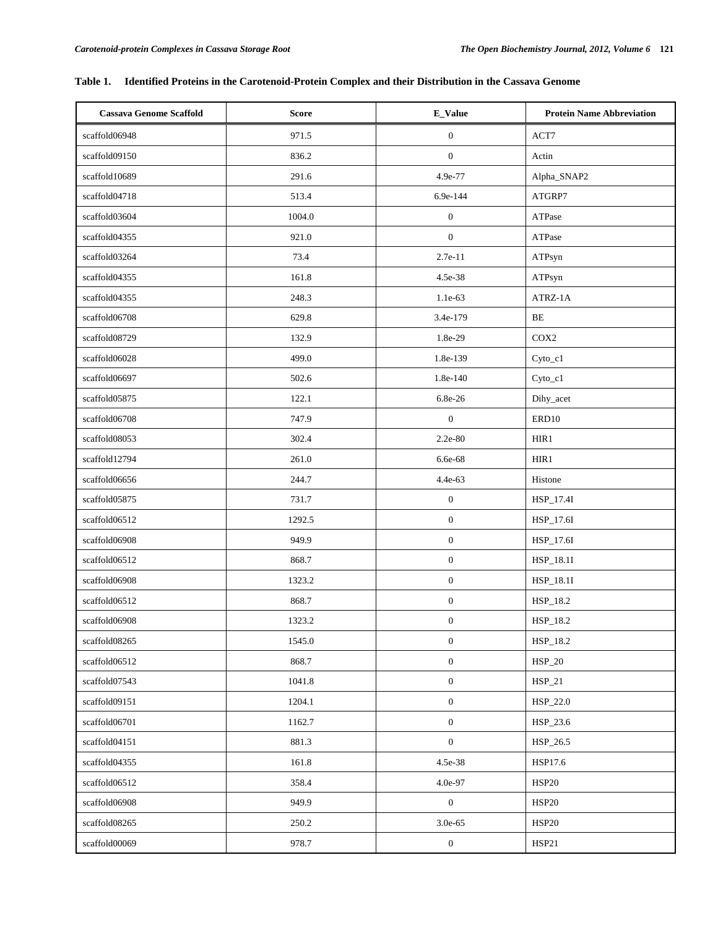# **Table 1. Identified Proteins in the Carotenoid-Protein Complex and their Distribution in the Cassava Genome**

| <b>Cassava Genome Scaffold</b> | <b>Score</b> | E_Value          | <b>Protein Name Abbreviation</b> |
|--------------------------------|--------------|------------------|----------------------------------|
| scaffold06948                  | 971.5        | $\boldsymbol{0}$ | ACT7                             |
| scaffold09150                  | 836.2        | $\boldsymbol{0}$ | Actin                            |
| scaffold10689                  | 291.6        | 4.9e-77          | Alpha_SNAP2                      |
| scaffold04718                  | 513.4        | 6.9e-144         | ATGRP7                           |
| scaffold03604                  | 1004.0       | $\boldsymbol{0}$ | ATPase                           |
| scaffold04355                  | 921.0        | $\boldsymbol{0}$ | ATPase                           |
| scaffold03264                  | 73.4         | $2.7e-11$        | ATPsyn                           |
| scaffold04355                  | 161.8        | 4.5e-38          | ATPsyn                           |
| scaffold04355                  | 248.3        | 1.1e-63          | ATRZ-1A                          |
| scaffold06708                  | 629.8        | 3.4e-179         | $\rm BE$                         |
| scaffold08729                  | 132.9        | 1.8e-29          | COX2                             |
| scaffold06028                  | 499.0        | 1.8e-139         | $Cyto_c1$                        |
| scaffold06697                  | 502.6        | 1.8e-140         | Cyto_c1                          |
| scaffold05875                  | 122.1        | 6.8e-26          | Dihy_acet                        |
| scaffold06708                  | 747.9        | $\mathbf{0}$     | ERD10                            |
| scaffold08053                  | 302.4        | 2.2e-80          | HIR1                             |
| scaffold12794                  | 261.0        | 6.6e-68          | HIR1                             |
| scaffold06656                  | 244.7        | 4.4e-63          | Histone                          |
| scaffold05875                  | 731.7        | $\boldsymbol{0}$ | HSP_17.4I                        |
| scaffold06512                  | 1292.5       | $\boldsymbol{0}$ | HSP_17.6I                        |
| scaffold06908                  | 949.9        | $\boldsymbol{0}$ | HSP_17.6I                        |
| scaffold06512                  | 868.7        | $\boldsymbol{0}$ | HSP_18.1I                        |
| scaffold06908                  | 1323.2       | $\boldsymbol{0}$ | HSP_18.1I                        |
| scaffold06512                  | 868.7        | $\boldsymbol{0}$ | HSP_18.2                         |
| scaffold06908                  | 1323.2       | $\boldsymbol{0}$ | HSP_18.2                         |
| scaffold08265                  | 1545.0       | $\boldsymbol{0}$ | HSP_18.2                         |
| scaffold06512                  | 868.7        | $\boldsymbol{0}$ | HSP_20                           |
| scaffold07543                  | 1041.8       | $\boldsymbol{0}$ | $HSP_21$                         |
| scaffold09151                  | 1204.1       | $\boldsymbol{0}$ | HSP_22.0                         |
| scaffold06701                  | 1162.7       | $\boldsymbol{0}$ | HSP_23.6                         |
| scaffold04151                  | 881.3        | $\boldsymbol{0}$ | HSP_26.5                         |
| scaffold04355                  | 161.8        | 4.5e-38          | HSP17.6                          |
| scaffold06512                  | 358.4        | 4.0e-97          | <b>HSP20</b>                     |
| scaffold06908                  | 949.9        | $\boldsymbol{0}$ | <b>HSP20</b>                     |
| scaffold08265                  | 250.2        | 3.0e-65          | <b>HSP20</b>                     |
| scaffold00069                  | 978.7        | $\boldsymbol{0}$ | <b>HSP21</b>                     |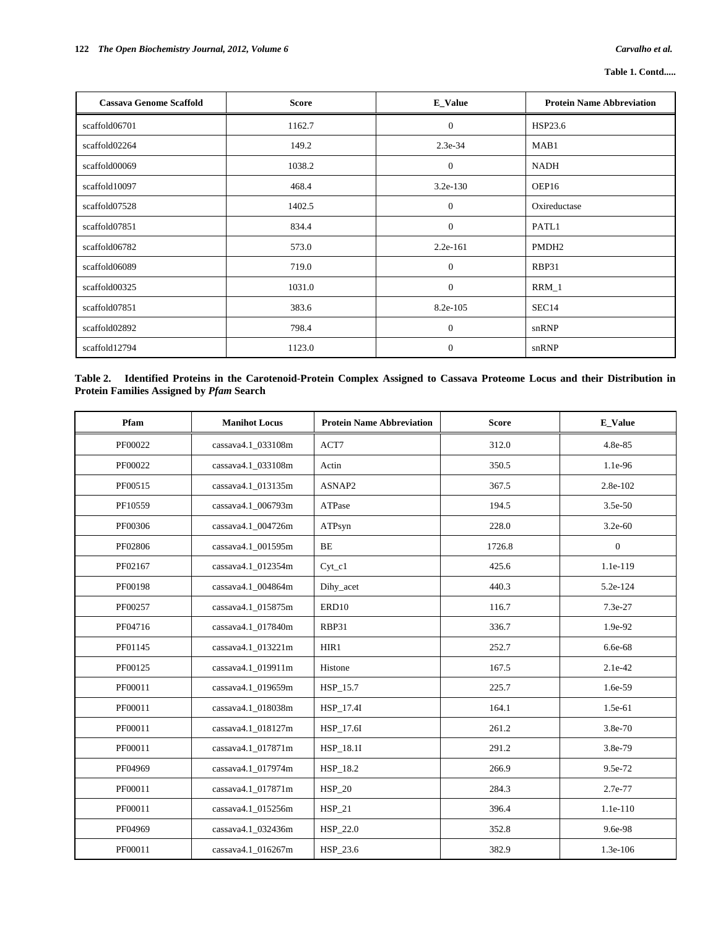| <b>Cassava Genome Scaffold</b> | <b>Score</b> | <b>E_Value</b> | <b>Protein Name Abbreviation</b> |
|--------------------------------|--------------|----------------|----------------------------------|
| scaffold06701                  | 1162.7       | $\overline{0}$ | HSP23.6                          |
| scaffold02264                  | 149.2        | $2.3e-34$      | MAB1                             |
| scaffold00069                  | 1038.2       | $\mathbf{0}$   | NADH                             |
| scaffold10097                  | 468.4        | $3.2e-130$     | OEP16                            |
| scaffold07528                  | 1402.5       | $\theta$       | Oxireductase                     |
| scaffold07851                  | 834.4        | $\mathbf{0}$   | PATL1                            |
| scaffold06782                  | 573.0        | $2.2e-161$     | PMDH <sub>2</sub>                |
| scaffold06089                  | 719.0        | $\mathbf{0}$   | RBP31                            |
| scaffold00325                  | 1031.0       | $\mathbf{0}$   | $RRM_1$                          |
| scaffold07851                  | 383.6        | 8.2e-105       | SEC <sub>14</sub>                |
| scaffold02892                  | 798.4        | $\mathbf{0}$   | snRNP                            |
| scaffold12794                  | 1123.0       | $\theta$       | snRNP                            |

| Table 2. Identified Proteins in the Carotenoid-Protein Complex Assigned to Cassava Proteome Locus and their Distribution in |  |  |  |  |  |
|-----------------------------------------------------------------------------------------------------------------------------|--|--|--|--|--|
| <b>Protein Families Assigned by Pfam Search</b>                                                                             |  |  |  |  |  |

| Pfam    | <b>Manihot Locus</b> | <b>Protein Name Abbreviation</b> | <b>Score</b> | <b>E_Value</b>   |
|---------|----------------------|----------------------------------|--------------|------------------|
| PF00022 | cassava4.1_033108m   | ACT7                             | 312.0        | 4.8e-85          |
| PF00022 | cassava4.1_033108m   | Actin                            | 350.5        | 1.1e-96          |
| PF00515 | cassava4.1 013135m   | ASNAP2                           | 367.5        | 2.8e-102         |
| PF10559 | cassava4.1_006793m   | ATPase                           | 194.5        | 3.5e-50          |
| PF00306 | cassava4.1 004726m   | ATPsyn                           | 228.0        | $3.2e-60$        |
| PF02806 | cassava4.1_001595m   | BE                               | 1726.8       | $\boldsymbol{0}$ |
| PF02167 | cassava4.1 012354m   | $Cyt_c1$                         | 425.6        | 1.1e-119         |
| PF00198 | cassava4.1 004864m   | Dihy_acet                        | 440.3        | 5.2e-124         |
| PF00257 | cassava4.1_015875m   | ERD10                            | 116.7        | 7.3e-27          |
| PF04716 | cassava4.1_017840m   | RBP31                            | 336.7        | 1.9e-92          |
| PF01145 | cassava4.1_013221m   | HIR1                             | 252.7        | 6.6e-68          |
| PF00125 | cassava4.1_019911m   | Histone                          | 167.5        | 2.1e-42          |
| PF00011 | cassava4.1_019659m   | HSP_15.7                         | 225.7        | 1.6e-59          |
| PF00011 | cassava4.1_018038m   | HSP_17.4I                        | 164.1        | 1.5e-61          |
| PF00011 | cassava4.1_018127m   | HSP 17.6I                        | 261.2        | 3.8e-70          |
| PF00011 | cassava4.1_017871m   | HSP_18.1I                        | 291.2        | 3.8e-79          |
| PF04969 | cassava4.1_017974m   | HSP_18.2                         | 266.9        | 9.5e-72          |
| PF00011 | cassava4.1 017871m   | $HSP_20$                         | 284.3        | 2.7e-77          |
| PF00011 | cassava4.1 015256m   | $HSP_21$                         | 396.4        | 1.1e-110         |
| PF04969 | cassava4.1_032436m   | HSP_22.0                         | 352.8        | 9.6e-98          |
| PF00011 | cassava4.1 016267m   | HSP_23.6                         | 382.9        | 1.3e-106         |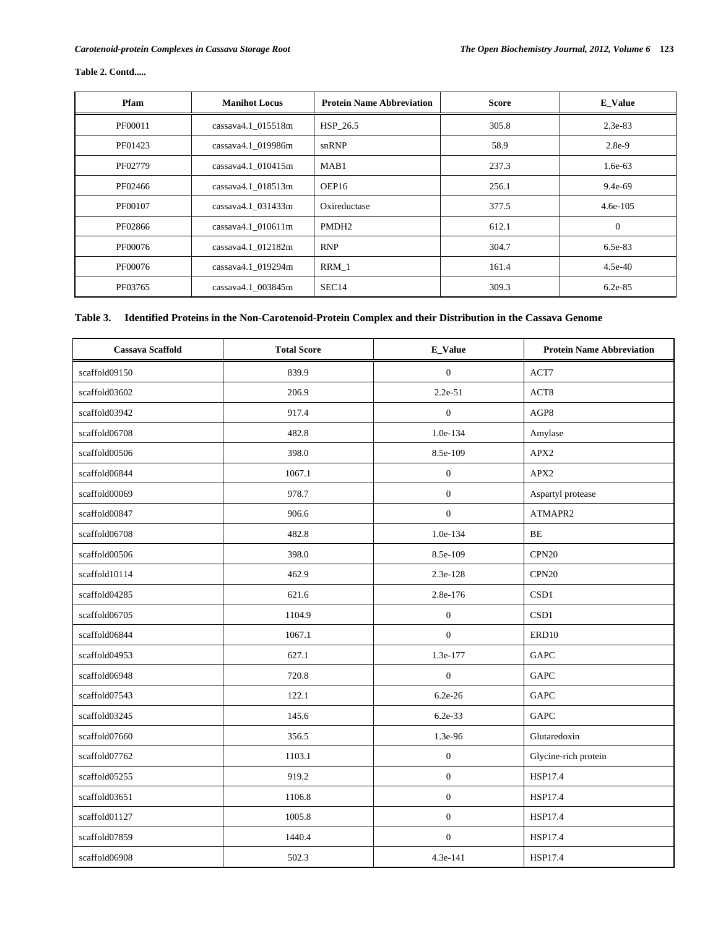| Pfam    | <b>Manihot Locus</b>  | <b>Protein Name Abbreviation</b> | <b>Score</b> | <b>E</b> Value |
|---------|-----------------------|----------------------------------|--------------|----------------|
| PF00011 | $cassava4.1$ 015518m  | HSP 26.5                         | 305.8        | $2.3e-83$      |
| PF01423 | cassava4.1 019986m    | snRNP                            | 58.9         | 2.8e-9         |
| PF02779 | $cassava4.1\_010415m$ | MAB1                             | 237.3        | $1.6e-63$      |
| PF02466 | cassava4.1_018513m    | OEP16                            | 256.1        | 9.4e-69        |
| PF00107 | cassava4.1 031433m    | Oxireductase                     | 377.5        | $4.6e-105$     |
| PF02866 | $cassava4.1$ 010611m  | PMDH <sub>2</sub>                | 612.1        | $\theta$       |
| PF00076 | cassava4.1 012182m    | <b>RNP</b>                       | 304.7        | 6.5e-83        |
| PF00076 | cassava4.1_019294m    | RRM 1                            | 161.4        | $4.5e-40$      |
| PF03765 | cassava4.1_003845m    | SEC <sub>14</sub>                | 309.3        | $6.2e-85$      |

# **Table 2. Contd.....**

# **Table 3. Identified Proteins in the Non-Carotenoid-Protein Complex and their Distribution in the Cassava Genome**

| <b>Cassava Scaffold</b> | <b>Total Score</b> | <b>E_Value</b>   | <b>Protein Name Abbreviation</b> |
|-------------------------|--------------------|------------------|----------------------------------|
| scaffold09150           | 839.9              | $\mathbf{0}$     | ACT7                             |
| scaffold03602           | 206.9              | 2.2e-51          | $\operatorname{ACT8}$            |
| scaffold03942           | 917.4              | $\mathbf{0}$     | AGP8                             |
| scaffold06708           | 482.8              | 1.0e-134         | Amylase                          |
| scaffold00506           | 398.0              | 8.5e-109         | APX2                             |
| scaffold06844           | 1067.1             | $\mathbf{0}$     | APX2                             |
| scaffold00069           | 978.7              | $\boldsymbol{0}$ | Aspartyl protease                |
| scaffold00847           | 906.6              | $\boldsymbol{0}$ | ATMAPR2                          |
| scaffold06708           | 482.8              | 1.0e-134         | BE                               |
| scaffold00506           | 398.0              | 8.5e-109         | CPN <sub>20</sub>                |
| scaffold10114           | 462.9              | 2.3e-128         | CPN20                            |
| scaffold04285           | 621.6              | 2.8e-176         | CSD1                             |
| scaffold06705           | 1104.9             | $\boldsymbol{0}$ | CSD1                             |
| scaffold06844           | 1067.1             | $\boldsymbol{0}$ | ERD10                            |
| scaffold04953           | 627.1              | 1.3e-177         | <b>GAPC</b>                      |
| scaffold06948           | 720.8              | $\mathbf{0}$     | <b>GAPC</b>                      |
| scaffold07543           | 122.1              | $6.2e-26$        | GAPC                             |
| scaffold03245           | 145.6              | 6.2e-33          | <b>GAPC</b>                      |
| scaffold07660           | 356.5              | 1.3e-96          | Glutaredoxin                     |
| scaffold07762           | 1103.1             | $\boldsymbol{0}$ | Glycine-rich protein             |
| scaffold05255           | 919.2              | $\mathbf{0}$     | <b>HSP17.4</b>                   |
| scaffold03651           | 1106.8             | $\mathbf{0}$     | <b>HSP17.4</b>                   |
| scaffold01127           | 1005.8             | $\mathbf{0}$     | <b>HSP17.4</b>                   |
| scaffold07859           | 1440.4             | $\mathbf{0}$     | HSP17.4                          |
| scaffold06908           | 502.3              | 4.3e-141         | HSP17.4                          |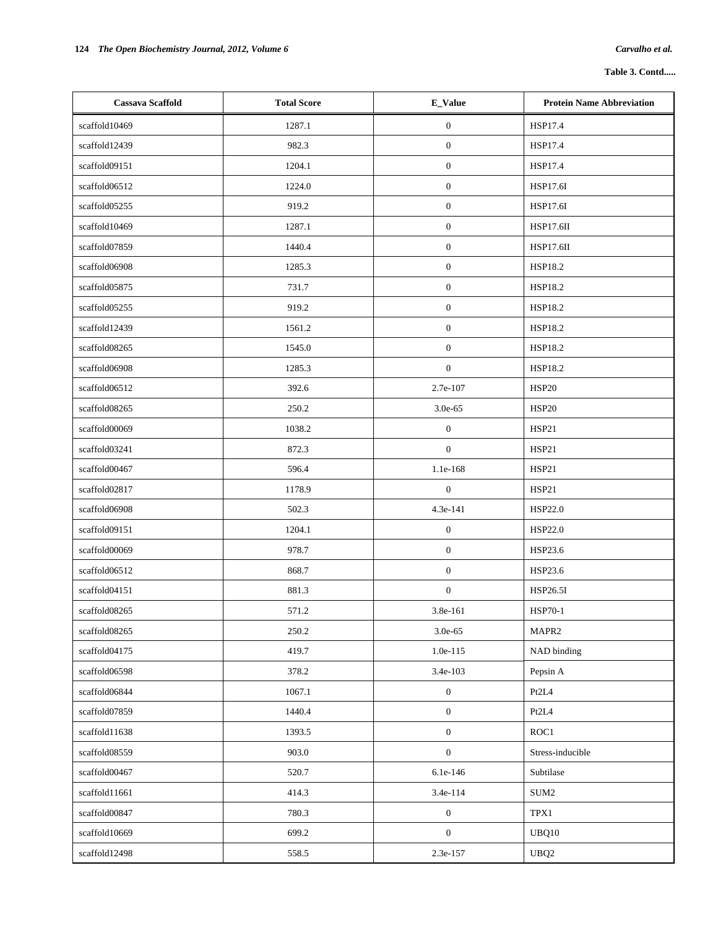| <b>Cassava Scaffold</b> | <b>Total Score</b> | E_Value          | <b>Protein Name Abbreviation</b> |
|-------------------------|--------------------|------------------|----------------------------------|
| scaffold10469           | 1287.1             | $\boldsymbol{0}$ | HSP17.4                          |
| scaffold12439           | 982.3              | $\mathbf{0}$     | HSP17.4                          |
| scaffold09151           | 1204.1             | $\boldsymbol{0}$ | HSP17.4                          |
| scaffold06512           | 1224.0             | $\boldsymbol{0}$ | HSP17.6I                         |
| scaffold05255           | 919.2              | $\boldsymbol{0}$ | HSP17.6I                         |
| scaffold10469           | 1287.1             | $\boldsymbol{0}$ | <b>HSP17.6II</b>                 |
| scaffold07859           | 1440.4             | $\boldsymbol{0}$ | <b>HSP17.6II</b>                 |
| scaffold06908           | 1285.3             | $\boldsymbol{0}$ | HSP18.2                          |
| scaffold05875           | 731.7              | $\boldsymbol{0}$ | <b>HSP18.2</b>                   |
| scaffold05255           | 919.2              | $\boldsymbol{0}$ | <b>HSP18.2</b>                   |
| scaffold12439           | 1561.2             | $\mathbf{0}$     | <b>HSP18.2</b>                   |
| scaffold08265           | 1545.0             | $\boldsymbol{0}$ | <b>HSP18.2</b>                   |
| scaffold06908           | 1285.3             | $\mathbf{0}$     | <b>HSP18.2</b>                   |
| scaffold06512           | 392.6              | 2.7e-107         | <b>HSP20</b>                     |
| scaffold08265           | 250.2              | 3.0e-65          | <b>HSP20</b>                     |
| scaffold00069           | 1038.2             | $\boldsymbol{0}$ | HSP21                            |
| scaffold03241           | 872.3              | $\mathbf{0}$     | HSP21                            |
| scaffold00467           | 596.4              | 1.1e-168         | HSP21                            |
| scaffold02817           | 1178.9             | $\mathbf{0}$     | HSP21                            |
| scaffold06908           | 502.3              | 4.3e-141         | HSP22.0                          |
| scaffold09151           | 1204.1             | $\boldsymbol{0}$ | HSP22.0                          |
| scaffold00069           | 978.7              | $\mathbf{0}$     | HSP23.6                          |
| scaffold06512           | 868.7              | $\mathbf{0}$     | HSP23.6                          |
| scaffold04151           | 881.3              | $\boldsymbol{0}$ | HSP26.5I                         |
| scaffold08265           | 571.2              | 3.8e-161         | <b>HSP70-1</b>                   |
| scaffold08265           | 250.2              | $3.0e-65$        | MAPR2                            |
| scaffold04175           | 419.7              | $1.0e-115$       | NAD binding                      |
| scaffold06598           | 378.2              | 3.4e-103         | Pepsin A                         |
| scaffold06844           | 1067.1             | $\boldsymbol{0}$ | Pt2L4                            |
| scaffold07859           | 1440.4             | $\boldsymbol{0}$ | Pt2L4                            |
| scaffold11638           | 1393.5             | $\boldsymbol{0}$ | ROC1                             |
| scaffold08559           | 903.0              | $\boldsymbol{0}$ | Stress-inducible                 |
| scaffold00467           | 520.7              | 6.1e-146         | Subtilase                        |
| scaffold11661           | 414.3              | 3.4e-114         | $\rm SUM2$                       |
| scaffold00847           | 780.3              | $\boldsymbol{0}$ | TPX1                             |
| scaffold10669           | 699.2              | $\boldsymbol{0}$ | UBQ10                            |
| scaffold12498           | 558.5              | 2.3e-157         | UBQ <sub>2</sub>                 |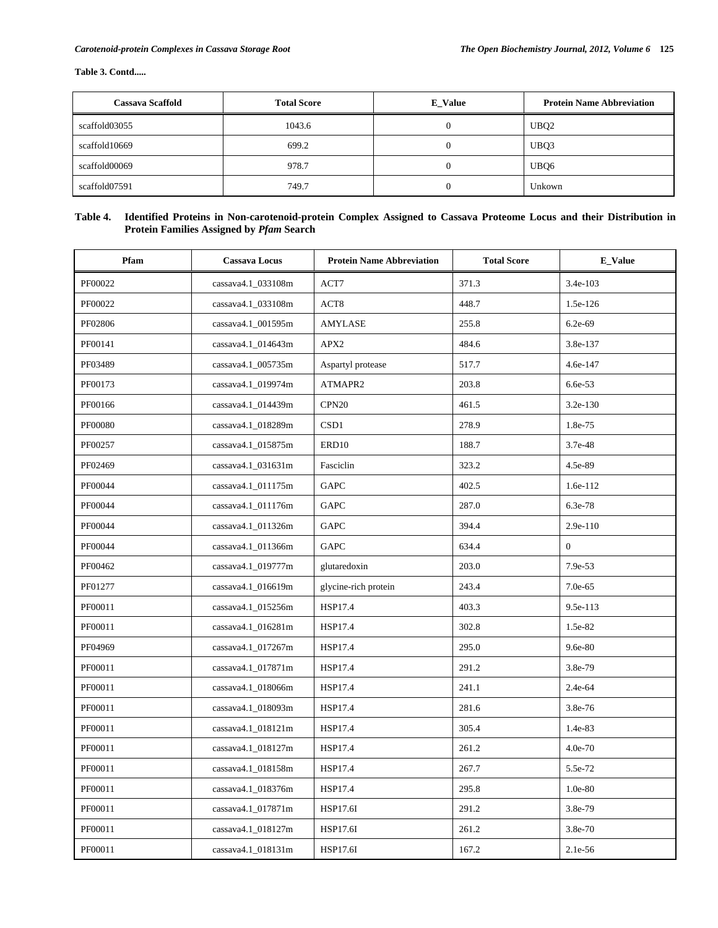# **Table 3. Contd.....**

| <b>Cassava Scaffold</b> | <b>Total Score</b> | <b>E_Value</b> | <b>Protein Name Abbreviation</b> |
|-------------------------|--------------------|----------------|----------------------------------|
| scaffold03055           | 1043.6             |                | UBQ <sub>2</sub>                 |
| scaffold10669           | 699.2              |                | UBQ3                             |
| scaffold00069           | 978.7              |                | UBQ6                             |
| scaffold07591           | 749.7              |                | Unkown                           |

# **Table 4. Identified Proteins in Non-carotenoid-protein Complex Assigned to Cassava Proteome Locus and their Distribution in Protein Families Assigned by** *Pfam* **Search**

| Pfam    | <b>Cassava Locus</b> | <b>Protein Name Abbreviation</b> | <b>Total Score</b> | E_Value        |
|---------|----------------------|----------------------------------|--------------------|----------------|
| PF00022 | cassava4.1_033108m   | ACT7                             | 371.3              | 3.4e-103       |
| PF00022 | cassava4.1_033108m   | ACT8                             | 448.7              | 1.5e-126       |
| PF02806 | cassava4.1_001595m   | AMYLASE                          | 255.8              | 6.2e-69        |
| PF00141 | cassava4.1_014643m   | APX2                             | 484.6              | 3.8e-137       |
| PF03489 | cassava4.1_005735m   | Aspartyl protease                | 517.7              | 4.6e-147       |
| PF00173 | cassava4.1_019974m   | ATMAPR2                          | 203.8              | 6.6e-53        |
| PF00166 | cassava4.1_014439m   | CPN <sub>20</sub>                | 461.5              | $3.2e-130$     |
| PF00080 | cassava4.1_018289m   | CSD1                             | 278.9              | 1.8e-75        |
| PF00257 | cassava4.1_015875m   | ERD10                            | 188.7              | 3.7e-48        |
| PF02469 | cassava4.1_031631m   | Fasciclin                        | 323.2              | 4.5e-89        |
| PF00044 | cassava4.1_011175m   | GAPC                             | 402.5              | 1.6e-112       |
| PF00044 | cassava4.1_011176m   | GAPC                             | 287.0              | 6.3e-78        |
| PF00044 | cassava4.1_011326m   | GAPC                             | 394.4              | 2.9e-110       |
| PF00044 | cassava4.1_011366m   | GAPC                             | 634.4              | $\overline{0}$ |
| PF00462 | cassava4.1_019777m   | glutaredoxin                     | 203.0              | 7.9e-53        |
| PF01277 | cassava4.1_016619m   | glycine-rich protein             | 243.4              | 7.0e-65        |
| PF00011 | cassava4.1_015256m   | HSP17.4                          | 403.3              | 9.5e-113       |
| PF00011 | cassava4.1_016281m   | HSP17.4                          | 302.8              | 1.5e-82        |
| PF04969 | cassava4.1_017267m   | <b>HSP17.4</b>                   | 295.0              | 9.6e-80        |
| PF00011 | cassava4.1_017871m   | <b>HSP17.4</b>                   | 291.2              | 3.8e-79        |
| PF00011 | cassava4.1_018066m   | <b>HSP17.4</b>                   | 241.1              | 2.4e-64        |
| PF00011 | cassava4.1_018093m   | HSP17.4                          | 281.6              | 3.8e-76        |
| PF00011 | cassava4.1_018121m   | HSP17.4                          | 305.4              | 1.4e-83        |
| PF00011 | cassava4.1_018127m   | <b>HSP17.4</b>                   | 261.2              | 4.0e-70        |
| PF00011 | cassava4.1_018158m   | HSP17.4                          | 267.7              | 5.5e-72        |
| PF00011 | cassava4.1_018376m   | HSP17.4                          | 295.8              | $1.0e-80$      |
| PF00011 | cassava4.1_017871m   | <b>HSP17.6I</b>                  | 291.2              | 3.8e-79        |
| PF00011 | cassava4.1_018127m   | <b>HSP17.6I</b>                  | 261.2              | 3.8e-70        |
| PF00011 | cassava4.1_018131m   | HSP17.6I                         | 167.2              | 2.1e-56        |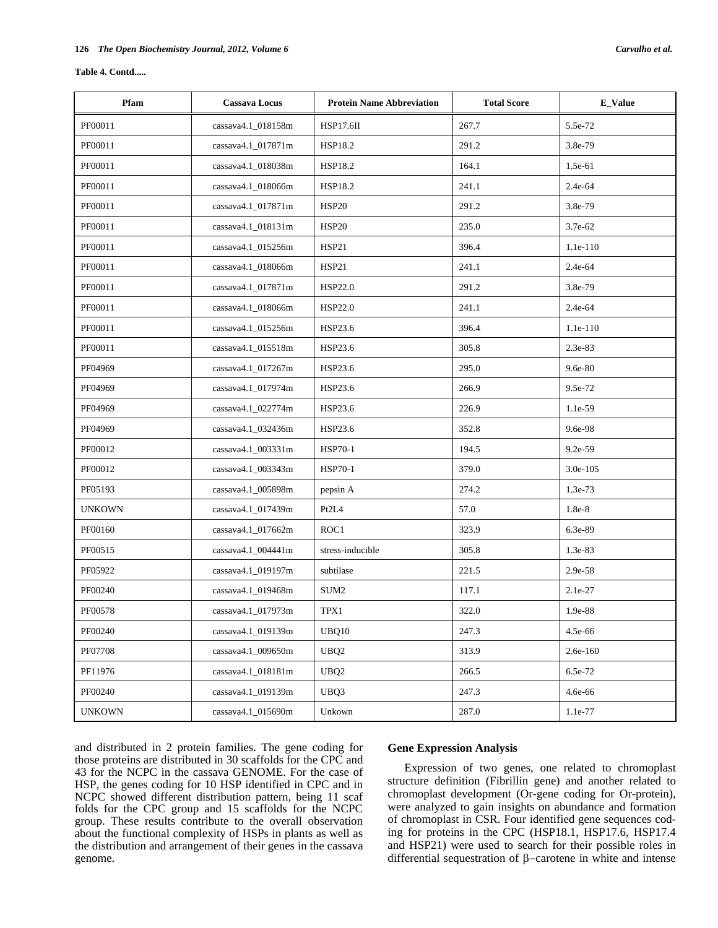### **Table 4. Contd.....**

| Pfam          | <b>Cassava Locus</b> | <b>Total Score</b><br><b>Protein Name Abbreviation</b> |       | <b>E_Value</b> |
|---------------|----------------------|--------------------------------------------------------|-------|----------------|
| PF00011       | cassava4.1_018158m   | HSP17.6II                                              | 267.7 | 5.5e-72        |
| PF00011       | cassava4.1_017871m   | <b>HSP18.2</b>                                         | 291.2 | 3.8e-79        |
| PF00011       | cassava4.1_018038m   | <b>HSP18.2</b>                                         | 164.1 | $1.5e-61$      |
| PF00011       | cassava4.1_018066m   | HSP18.2                                                | 241.1 | 2.4e-64        |
| PF00011       | cassava4.1_017871m   | <b>HSP20</b>                                           | 291.2 | 3.8e-79        |
| PF00011       | cassava4.1_018131m   | <b>HSP20</b>                                           | 235.0 | 3.7e-62        |
| PF00011       | cassava4.1_015256m   | <b>HSP21</b>                                           | 396.4 | 1.1e-110       |
| PF00011       | cassava4.1_018066m   | HSP21                                                  | 241.1 | 2.4e-64        |
| PF00011       | cassava4.1_017871m   | HSP22.0                                                | 291.2 | 3.8e-79        |
| PF00011       | cassava4.1_018066m   | HSP22.0                                                | 241.1 | 2.4e-64        |
| PF00011       | cassava4.1_015256m   | HSP23.6                                                | 396.4 | 1.1e-110       |
| PF00011       | cassava4.1_015518m   | HSP23.6                                                | 305.8 | 2.3e-83        |
| PF04969       | cassava4.1_017267m   | HSP23.6                                                | 295.0 | 9.6e-80        |
| PF04969       | cassava4.1_017974m   | HSP23.6                                                | 266.9 | 9.5e-72        |
| PF04969       | cassava4.1_022774m   | HSP23.6                                                | 226.9 | 1.1e-59        |
| PF04969       | cassava4.1_032436m   | HSP23.6                                                | 352.8 | 9.6e-98        |
| PF00012       | cassava4.1_003331m   | <b>HSP70-1</b>                                         | 194.5 | 9.2e-59        |
| PF00012       | cassava4.1_003343m   | <b>HSP70-1</b>                                         | 379.0 | 3.0e-105       |
| PF05193       | cassava4.1_005898m   | pepsin A                                               | 274.2 | 1.3e-73        |
| <b>UNKOWN</b> | cassava4.1_017439m   | Pt2L4                                                  | 57.0  | 1.8e-8         |
| PF00160       | cassava4.1_017662m   | ROC1                                                   | 323.9 | 6.3e-89        |
| PF00515       | cassava4.1_004441m   | stress-inducible                                       | 305.8 | 1.3e-83        |
| PF05922       | cassava4.1_019197m   | subtilase                                              | 221.5 | 2.9e-58        |
| PF00240       | cassava4.1_019468m   | $\rm SUM2$                                             | 117.1 | 2.1e-27        |
| PF00578       | cassava4.1_017973m   | TPX1                                                   | 322.0 | 1.9e-88        |
| PF00240       | cassava4.1 019139m   | UBQ10                                                  | 247.3 | 4.5e-66        |
| PF07708       | cassava4.1 009650m   | UBQ <sub>2</sub>                                       | 313.9 | $2.6e-160$     |
| PF11976       | cassava4.1_018181m   | UBQ <sub>2</sub>                                       | 266.5 | 6.5e-72        |
| PF00240       | cassava4.1_019139m   | UBQ3                                                   | 247.3 | 4.6e-66        |
| <b>UNKOWN</b> | cassava4.1 015690m   | Unkown                                                 | 287.0 | 1.1e-77        |

and distributed in 2 protein families. The gene coding for those proteins are distributed in 30 scaffolds for the CPC and 43 for the NCPC in the cassava GENOME. For the case of HSP, the genes coding for 10 HSP identified in CPC and in NCPC showed different distribution pattern, being 11 scaf folds for the CPC group and 15 scaffolds for the NCPC group. These results contribute to the overall observation about the functional complexity of HSPs in plants as well as the distribution and arrangement of their genes in the cassava genome.

### **Gene Expression Analysis**

 Expression of two genes, one related to chromoplast structure definition (Fibrillin gene) and another related to chromoplast development (Or-gene coding for Or-protein), were analyzed to gain insights on abundance and formation of chromoplast in CSR. Four identified gene sequences coding for proteins in the CPC (HSP18.1, HSP17.6, HSP17.4 and HSP21) were used to search for their possible roles in differential sequestration of  $\beta$ -carotene in white and intense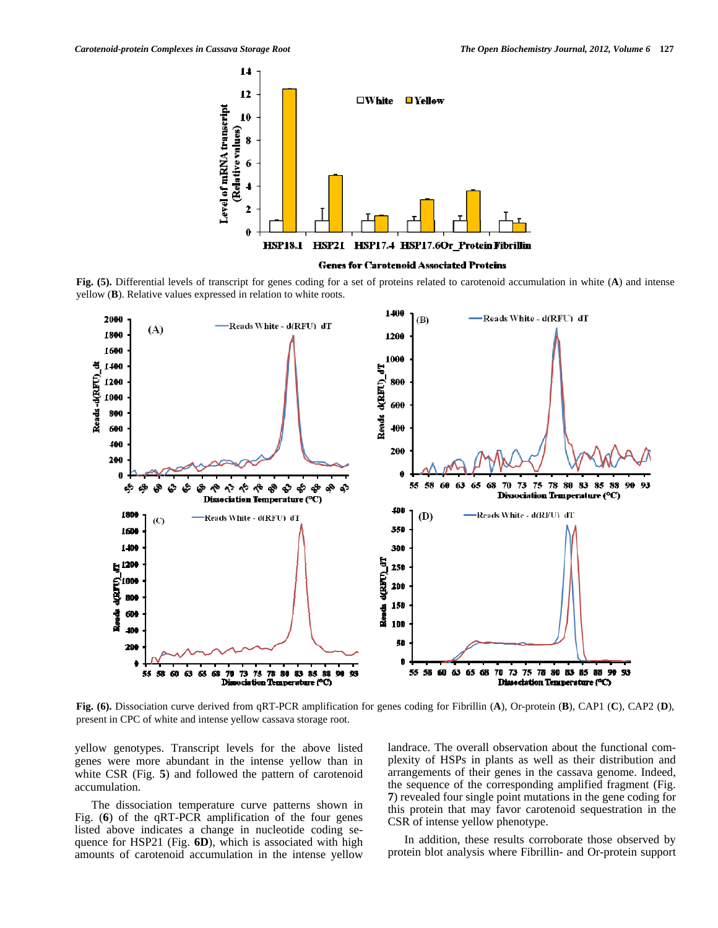

**Genes for Carotenoid Associated Proteins** 

**Fig. (5).** Differential levels of transcript for genes coding for a set of proteins related to carotenoid accumulation in white (**A**) and intense yellow (**B**). Relative values expressed in relation to white roots.



**Fig. (6).** Dissociation curve derived from qRT-PCR amplification for genes coding for Fibrillin (**A**), Or-protein (**B**), CAP1 (**C**), CAP2 (**D**), present in CPC of white and intense yellow cassava storage root.

yellow genotypes. Transcript levels for the above listed genes were more abundant in the intense yellow than in white CSR (Fig. **5**) and followed the pattern of carotenoid accumulation.

 The dissociation temperature curve patterns shown in Fig. (**6**) of the qRT-PCR amplification of the four genes listed above indicates a change in nucleotide coding sequence for HSP21 (Fig. **6D**), which is associated with high amounts of carotenoid accumulation in the intense yellow landrace. The overall observation about the functional complexity of HSPs in plants as well as their distribution and arrangements of their genes in the cassava genome. Indeed, the sequence of the corresponding amplified fragment (Fig. **7**) revealed four single point mutations in the gene coding for this protein that may favor carotenoid sequestration in the CSR of intense yellow phenotype.

 In addition, these results corroborate those observed by protein blot analysis where Fibrillin- and Or-protein support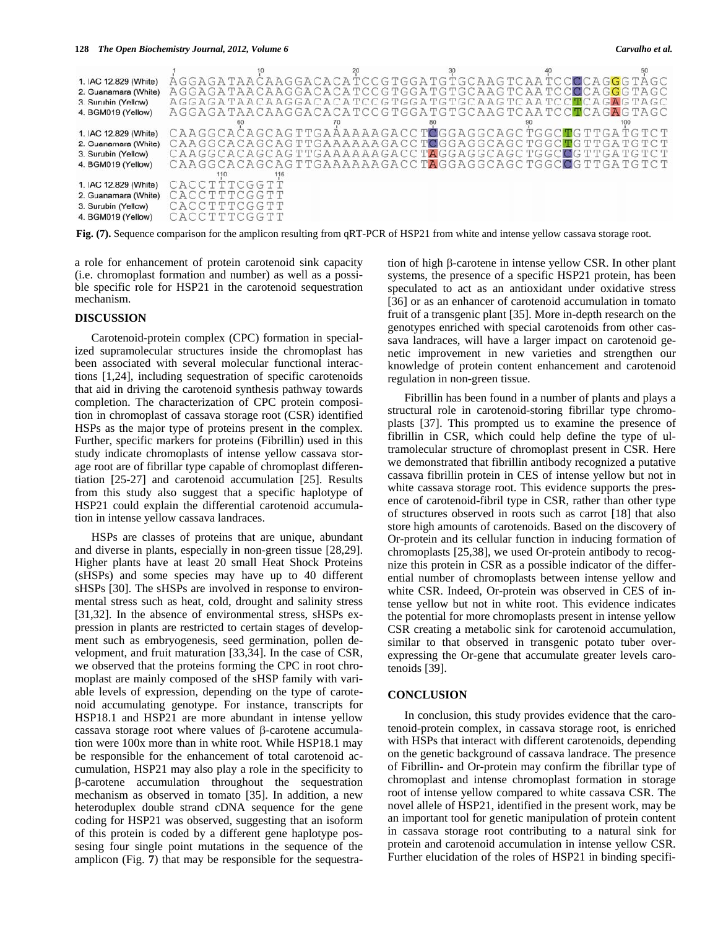### 128 *The Open Biochemistry Journal, 2012, Volume 6*

| Carvalho et al. |  |  |  |
|-----------------|--|--|--|
|-----------------|--|--|--|

| 1. IAC 12.829 (White) |                                |  | 10<br>A G G A G A T A A C A A G G A C A C A T C C G T G G A T G T G C A A G T C A A T C C C C C A G G G T A G C |  |
|-----------------------|--------------------------------|--|-----------------------------------------------------------------------------------------------------------------|--|
| 2. Guanamara (White)  |                                |  | A G G A G A T A A C A A G G A C A C A T C C G T G G A T G C C A A G T C A A T C C C C A G G G T A G C           |  |
| 3. Surbin (Yellow)    |                                |  | AGGAGA TAACAAGGACACA TCCG TGGA TG TGCAAG TCAA TCCTCAGAG TAGC                                                    |  |
| 4. BGM019 (Yellow)    |                                |  | A G G A G A T A A C A A G G A C A C A T C C G T G G A T G C C A A G T C A A T C C T C A G A G T A G C           |  |
|                       |                                |  |                                                                                                                 |  |
| 1. IAC 12.829 (White) |                                |  |                                                                                                                 |  |
| 2. Guanamara (White)  |                                |  |                                                                                                                 |  |
| 3. Surbin (Yellow)    |                                |  | CAAGGCACAGCAGTTGAAAAAAGACCTAGGAGGCAGCTGGCCCTTGATGTCT                                                            |  |
| 4. BGM019 (Yellow)    |                                |  | CAAGGCACAGCAGTTGAAAAAAGACCTAGGAGGCAGCTGGCCCTTGATGTCT                                                            |  |
|                       |                                |  |                                                                                                                 |  |
| 1. IAC 12.829 (White) | <sup>110</sup><br>CACCTTTCGGTT |  |                                                                                                                 |  |
| 2. Guanamara (White)  | CACCTTTCGGTT                   |  |                                                                                                                 |  |
| 3. Surbin (Yellow)    | CACCTTTCGGTT                   |  |                                                                                                                 |  |
| 4. BGM019 (Yellow)    | CACCTTTCGGTT                   |  |                                                                                                                 |  |
|                       |                                |  |                                                                                                                 |  |

**Fig. (7).** Sequence comparison for the amplicon resulting from qRT-PCR of HSP21 from white and intense yellow cassava storage root.

a role for enhancement of protein carotenoid sink capacity (i.e. chromoplast formation and number) as well as a possible specific role for HSP21 in the carotenoid sequestration mechanism.

### **DISCUSSION**

 Carotenoid-protein complex (CPC) formation in specialized supramolecular structures inside the chromoplast has been associated with several molecular functional interactions [1,24], including sequestration of specific carotenoids that aid in driving the carotenoid synthesis pathway towards completion. The characterization of CPC protein composition in chromoplast of cassava storage root (CSR) identified HSPs as the major type of proteins present in the complex. Further, specific markers for proteins (Fibrillin) used in this study indicate chromoplasts of intense yellow cassava storage root are of fibrillar type capable of chromoplast differentiation [25-27] and carotenoid accumulation [25]. Results from this study also suggest that a specific haplotype of HSP21 could explain the differential carotenoid accumulation in intense yellow cassava landraces.

 HSPs are classes of proteins that are unique, abundant and diverse in plants, especially in non-green tissue [28,29]. Higher plants have at least 20 small Heat Shock Proteins (sHSPs) and some species may have up to 40 different sHSPs [30]. The sHSPs are involved in response to environmental stress such as heat, cold, drought and salinity stress [31,32]. In the absence of environmental stress, sHSPs expression in plants are restricted to certain stages of development such as embryogenesis, seed germination, pollen development, and fruit maturation [33,34]. In the case of CSR, we observed that the proteins forming the CPC in root chromoplast are mainly composed of the sHSP family with variable levels of expression, depending on the type of carotenoid accumulating genotype. For instance, transcripts for HSP18.1 and HSP21 are more abundant in intense yellow cassava storage root where values of  $\beta$ -carotene accumulation were 100x more than in white root. While HSP18.1 may be responsible for the enhancement of total carotenoid accumulation, HSP21 may also play a role in the specificity to -carotene accumulation throughout the sequestration mechanism as observed in tomato [35]. In addition, a new heteroduplex double strand cDNA sequence for the gene coding for HSP21 was observed, suggesting that an isoform of this protein is coded by a different gene haplotype possesing four single point mutations in the sequence of the amplicon (Fig. **7**) that may be responsible for the sequestration of high  $\beta$ -carotene in intense yellow CSR. In other plant systems, the presence of a specific HSP21 protein, has been speculated to act as an antioxidant under oxidative stress [36] or as an enhancer of carotenoid accumulation in tomato fruit of a transgenic plant [35]. More in-depth research on the genotypes enriched with special carotenoids from other cassava landraces, will have a larger impact on carotenoid genetic improvement in new varieties and strengthen our knowledge of protein content enhancement and carotenoid regulation in non-green tissue.

 Fibrillin has been found in a number of plants and plays a structural role in carotenoid-storing fibrillar type chromoplasts [37]. This prompted us to examine the presence of fibrillin in CSR, which could help define the type of ultramolecular structure of chromoplast present in CSR. Here we demonstrated that fibrillin antibody recognized a putative cassava fibrillin protein in CES of intense yellow but not in white cassava storage root. This evidence supports the presence of carotenoid-fibril type in CSR, rather than other type of structures observed in roots such as carrot [18] that also store high amounts of carotenoids. Based on the discovery of Or-protein and its cellular function in inducing formation of chromoplasts [25,38], we used Or-protein antibody to recognize this protein in CSR as a possible indicator of the differential number of chromoplasts between intense yellow and white CSR. Indeed, Or-protein was observed in CES of intense yellow but not in white root. This evidence indicates the potential for more chromoplasts present in intense yellow CSR creating a metabolic sink for carotenoid accumulation, similar to that observed in transgenic potato tuber overexpressing the Or-gene that accumulate greater levels carotenoids [39].

## **CONCLUSION**

 In conclusion, this study provides evidence that the carotenoid-protein complex, in cassava storage root, is enriched with HSPs that interact with different carotenoids, depending on the genetic background of cassava landrace. The presence of Fibrillin- and Or-protein may confirm the fibrillar type of chromoplast and intense chromoplast formation in storage root of intense yellow compared to white cassava CSR. The novel allele of HSP21, identified in the present work, may be an important tool for genetic manipulation of protein content in cassava storage root contributing to a natural sink for protein and carotenoid accumulation in intense yellow CSR. Further elucidation of the roles of HSP21 in binding specifi-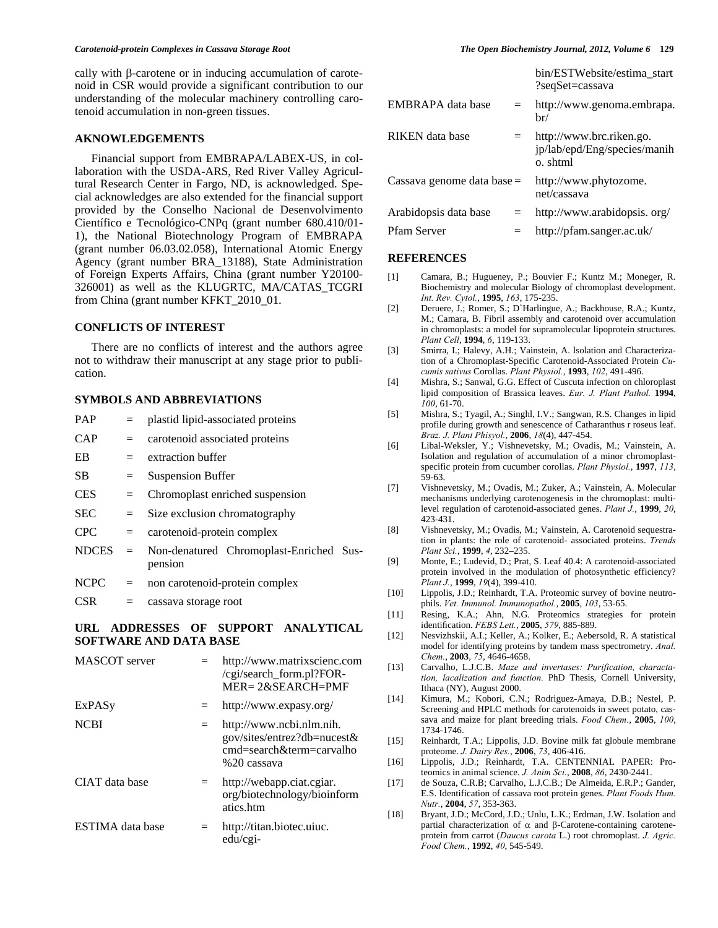### *Carotenoid-protein Complexes in Cassava Storage Root The Open Biochemistry Journal, 2012, Volume 6* **129**

cally with  $\beta$ -carotene or in inducing accumulation of carotenoid in CSR would provide a significant contribution to our understanding of the molecular machinery controlling carotenoid accumulation in non-green tissues.

### **AKNOWLEDGEMENTS**

 Financial support from EMBRAPA/LABEX-US, in collaboration with the USDA-ARS, Red River Valley Agricultural Research Center in Fargo, ND, is acknowledged. Special acknowledges are also extended for the financial support provided by the Conselho Nacional de Desenvolvimento Científico e Tecnológico-CNPq (grant number 680.410/01- 1), the National Biotechnology Program of EMBRAPA (grant number 06.03.02.058), International Atomic Energy Agency (grant number BRA\_13188), State Administration of Foreign Experts Affairs, China (grant number Y20100- 326001) as well as the KLUGRTC, MA/CATAS\_TCGRI from China (grant number KFKT\_2010\_01.

### **CONFLICTS OF INTEREST**

 There are no conflicts of interest and the authors agree not to withdraw their manuscript at any stage prior to publication.

# **SYMBOLS AND ABBREVIATIONS**

| <b>PAP</b>   | $=$ | plastid lipid-associated proteins                  |  |  |
|--------------|-----|----------------------------------------------------|--|--|
| CAP          | $=$ | carotenoid associated proteins                     |  |  |
| EB           | $=$ | extraction buffer                                  |  |  |
| SВ           | $=$ | <b>Suspension Buffer</b>                           |  |  |
| <b>CES</b>   | $=$ | Chromoplast enriched suspension                    |  |  |
| <b>SEC</b>   | $=$ | Size exclusion chromatography                      |  |  |
| <b>CPC</b>   | $=$ | carotenoid-protein complex                         |  |  |
| <b>NDCES</b> | $=$ | Non-denatured Chromoplast-Enriched Sus-<br>pension |  |  |
| <b>NCPC</b>  | $=$ | non carotenoid-protein complex                     |  |  |
| CSR.         |     | cassava storage root                               |  |  |
|              |     |                                                    |  |  |

# **URL ADDRESSES OF SUPPORT ANALYTICAL SOFTWARE AND DATA BASE**

| MASCOT server           |     | http://www.matrixscienc.com<br>/cgi/search_form.pl?FOR-<br>$MER = 2&SEARCH = PMF$                  |
|-------------------------|-----|----------------------------------------------------------------------------------------------------|
| ExPASy                  |     | http://www.expasy.org/                                                                             |
| <b>NCBI</b>             | $=$ | http://www.ncbi.nlm.nih.<br>gov/sites/entrez?db=nucest&<br>cmd=search&term=carvalho<br>%20 cassava |
| CIAT data base          |     | http://webapp.ciat.cgiar.<br>org/biotechnology/bioinform<br>atics.htm                              |
| <b>ESTIMA</b> data base | $=$ | http://titan.biotec.uiuc.<br>$edu/cgi-$                                                            |

|                              |     | bin/ESTWebsite/estima start<br>?seqSet=cassava                       |
|------------------------------|-----|----------------------------------------------------------------------|
| EMBRAPA data base            | $=$ | http://www.genoma.embrapa.<br>br/                                    |
| RIKEN data base              |     | http://www.brc.riken.go.<br>jp/lab/epd/Eng/species/manih<br>o. shtml |
| Cassava genome data base $=$ |     | http://www.phytozome.<br>net/cassava                                 |
| Arabidopsis data base        | $=$ | http://www.arabidopsis.org/                                          |
| Pfam Server                  |     | http://pfam.sanger.ac.uk/                                            |

### **REFERENCES**

- [1] Camara, B.; Hugueney, P.; Bouvier F.; Kuntz M.; Moneger, R. Biochemistry and molecular Biology of chromoplast development. *Int. Rev. Cytol.*, **1995**, *163*, 175-235.
- [2] Deruere, J.; Romer, S.; D`Harlingue, A.; Backhouse, R.A.; Kuntz, M.; Camara, B. Fibril assembly and carotenoid over accumulation in chromoplasts: a model for supramolecular lipoprotein structures. *Plant Cell*, **1994**, *6*, 119-133.
- [3] Smirra, I.; Halevy, A.H.; Vainstein, A. lsolation and Characterization of a Chromoplast-Specific Carotenoid-Associated Protein *Cucumis sativus* Corollas. *Plant Physiol.*, **1993**, *102*, 491-496.
- [4] Mishra, S.; Sanwal, G.G. Effect of Cuscuta infection on chloroplast lipid composition of Brassica leaves. *Eur. J. Plant Pathol.* **1994**, *100*, 61-70.
- [5] Mishra, S.; Tyagil, A.; Singhl, I.V.; Sangwan, R.S. Changes in lipid profile during growth and senescence of Catharanthus r roseus leaf. *Braz. J. Plant Phisyol.*, **2006**, *18*(4), 447-454.
- [6] Libal-Weksler, Y.; Vishnevetsky, M.; Ovadis, M.; Vainstein, A. Isolation and regulation of accumulation of a minor chromoplastspecific protein from cucumber corollas. *Plant Physiol.*, **1997**, *113*, 59-63.
- [7] Vishnevetsky, M.; Ovadis, M.; Zuker, A.; Vainstein, A. Molecular mechanisms underlying carotenogenesis in the chromoplast: multilevel regulation of carotenoid-associated genes. *Plant J.*, **1999**, *20*, 423-431.
- [8] Vishnevetsky, M.; Ovadis, M.; Vainstein, A. Carotenoid sequestration in plants: the role of carotenoid- associated proteins. *Trends Plant Sci.*, **1999**, *4*, 232–235.
- [9] Monte, E.; Ludevid, D.; Prat, S. Leaf 40.4: A carotenoid-associated protein involved in the modulation of photosynthetic efficiency? *Plant J.*, **1999**, *19*(4), 399-410.
- [10] Lippolis, J.D.; Reinhardt, T.A. Proteomic survey of bovine neutrophils. *Vet. Immunol. Immunopathol.*, **2005**, *103*, 53-65.
- [11] Resing, K.A.; Ahn, N.G. Proteomics strategies for protein identification. *FEBS Lett.*, **2005**, *579*, 885-889.
- [12] Nesvizhskii, A.I.; Keller, A.; Kolker, E.; Aebersold, R. A statistical model for identifying proteins by tandem mass spectrometry. *Anal. Chem.*, **2003**, *75*, 4646-4658.
- [13] Carvalho, L.J.C.B. *Maze and invertases: Purification, charactation, lacalization and function.* PhD Thesis, Cornell University, Ithaca (NY), August 2000.
- [14] Kimura, M.; Kobori, C.N.; Rodriguez-Amaya, D.B.; Nestel, P. Screening and HPLC methods for carotenoids in sweet potato, cassava and maize for plant breeding trials. *Food Chem.*, **2005**, *100*, 1734-1746.
- [15] Reinhardt, T.A.; Lippolis, J.D. Bovine milk fat globule membrane proteome. *J. Dairy Res.*, **2006**, *73*, 406-416.
- [16] Lippolis, J.D.; Reinhardt, T.A. CENTENNIAL PAPER: Proteomics in animal science. *J. Anim Sci.*, **2008**, *86*, 2430-2441.
- [17] de Souza, C.R.B; Carvalho, L.J.C.B.; [De Almeida, E.R.P](http://lattes.cnpq.br/8059160975656236).; [Gander,](http://lattes.cnpq.br/9461774563621223)  [E.S](http://lattes.cnpq.br/9461774563621223). Identification of cassava root protein genes. *Plant Foods Hum. Nutr.*, **2004**, *57*, 353-363.
- [18] Bryant, J.D.; McCord, J.D.; Unlu, L.K.; Erdman, J.W. Isolation and partial characterization of  $\alpha$  and  $\beta$ -Carotene-containing caroteneprotein from carrot (*Daucus carota* L.) root chromoplast. *J. Agric. Food Chem.*, **1992**, *40*, 545-549.